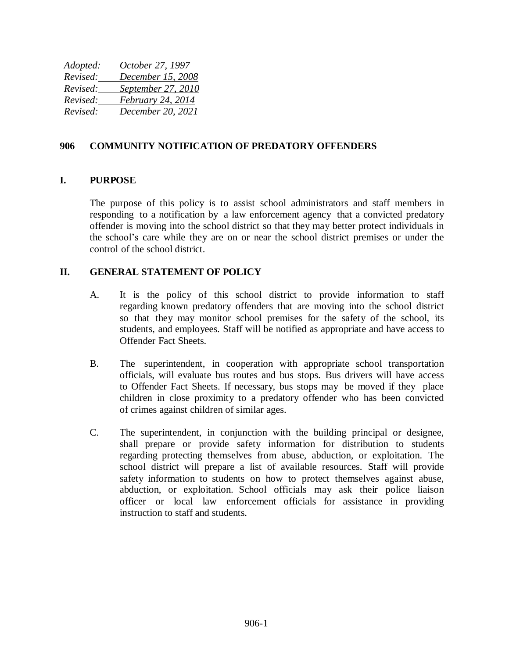| Adopted: | October 27, 1997   |
|----------|--------------------|
| Revised: | December 15, 2008  |
| Revised: | September 27, 2010 |
| Revised: | February 24, 2014  |
| Revised: | December 20, 2021  |

### **906 COMMUNITY NOTIFICATION OF PREDATORY OFFENDERS**

### **I. PURPOSE**

The purpose of this policy is to assist school administrators and staff members in responding to a notification by a law enforcement agency that a convicted predatory offender is moving into the school district so that they may better protect individuals in the school's care while they are on or near the school district premises or under the control of the school district.

### **II. GENERAL STATEMENT OF POLICY**

- A. It is the policy of this school district to provide information to staff regarding known predatory offenders that are moving into the school district so that they may monitor school premises for the safety of the school, its students, and employees. Staff will be notified as appropriate and have access to Offender Fact Sheets.
- B. The superintendent, in cooperation with appropriate school transportation officials, will evaluate bus routes and bus stops. Bus drivers will have access to Offender Fact Sheets. If necessary, bus stops may be moved if they place children in close proximity to a predatory offender who has been convicted of crimes against children of similar ages.
- C. The superintendent, in conjunction with the building principal or designee, shall prepare or provide safety information for distribution to students regarding protecting themselves from abuse, abduction, or exploitation. The school district will prepare a list of available resources. Staff will provide safety information to students on how to protect themselves against abuse, abduction, or exploitation. School officials may ask their police liaison officer or local law enforcement officials for assistance in providing instruction to staff and students.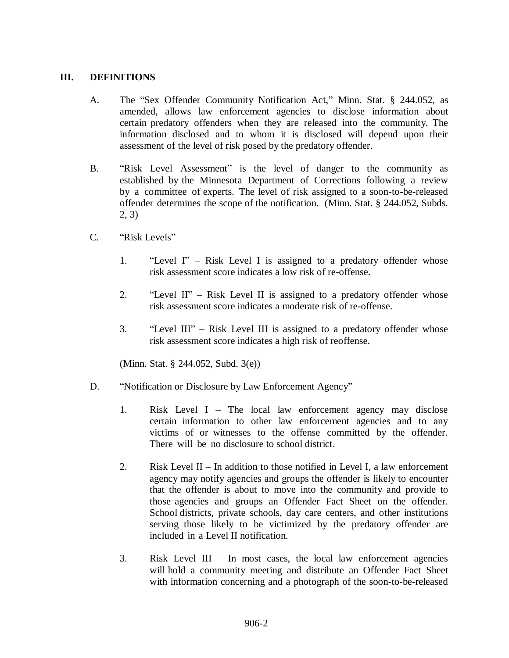### **III. DEFINITIONS**

- A. The "Sex Offender Community Notification Act," Minn. Stat. § 244.052, as amended, allows law enforcement agencies to disclose information about certain predatory offenders when they are released into the community. The information disclosed and to whom it is disclosed will depend upon their assessment of the level of risk posed by the predatory offender.
- B. "Risk Level Assessment" is the level of danger to the community as established by the Minnesota Department of Corrections following a review by a committee of experts. The level of risk assigned to a soon-to-be-released offender determines the scope of the notification. (Minn. Stat. § 244.052, Subds. 2, 3)
- C. "Risk Levels"
	- 1. "Level I" Risk Level I is assigned to a predatory offender whose risk assessment score indicates a low risk of re-offense.
	- 2. "Level II" Risk Level II is assigned to a predatory offender whose risk assessment score indicates a moderate risk of re-offense.
	- 3. "Level III" Risk Level III is assigned to a predatory offender whose risk assessment score indicates a high risk of reoffense.

(Minn. Stat. § 244.052, Subd. 3(e))

- D. "Notification or Disclosure by Law Enforcement Agency"
	- 1. Risk Level I The local law enforcement agency may disclose certain information to other law enforcement agencies and to any victims of or witnesses to the offense committed by the offender. There will be no disclosure to school district.
	- 2. Risk Level II In addition to those notified in Level I, a law enforcement agency may notify agencies and groups the offender is likely to encounter that the offender is about to move into the community and provide to those agencies and groups an Offender Fact Sheet on the offender. School districts, private schools, day care centers, and other institutions serving those likely to be victimized by the predatory offender are included in a Level II notification.
	- 3. Risk Level III In most cases, the local law enforcement agencies will hold a community meeting and distribute an Offender Fact Sheet with information concerning and a photograph of the soon-to-be-released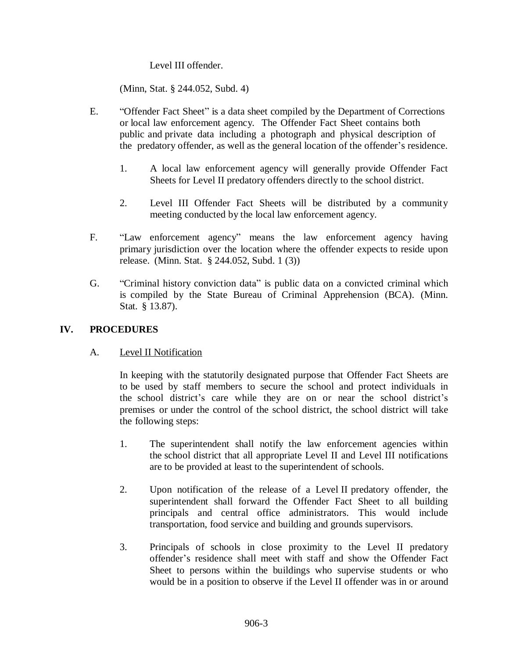# Level III offender.

(Minn, Stat. § 244.052, Subd. 4)

- E. "Offender Fact Sheet" is a data sheet compiled by the Department of Corrections or local law enforcement agency. The Offender Fact Sheet contains both public and private data including a photograph and physical description of the predatory offender, as well as the general location of the offender's residence.
	- 1. A local law enforcement agency will generally provide Offender Fact Sheets for Level II predatory offenders directly to the school district.
	- 2. Level III Offender Fact Sheets will be distributed by a community meeting conducted by the local law enforcement agency.
- F. "Law enforcement agency" means the law enforcement agency having primary jurisdiction over the location where the offender expects to reside upon release. (Minn. Stat. § 244.052, Subd. 1 (3))
- G. "Criminal history conviction data" is public data on a convicted criminal which is compiled by the State Bureau of Criminal Apprehension (BCA). (Minn. Stat. § 13.87).

# **IV. PROCEDURES**

# A. Level II Notification

In keeping with the statutorily designated purpose that Offender Fact Sheets are to be used by staff members to secure the school and protect individuals in the school district's care while they are on or near the school district's premises or under the control of the school district, the school district will take the following steps:

- 1. The superintendent shall notify the law enforcement agencies within the school district that all appropriate Level II and Level III notifications are to be provided at least to the superintendent of schools.
- 2. Upon notification of the release of a Level II predatory offender, the superintendent shall forward the Offender Fact Sheet to all building principals and central office administrators. This would include transportation, food service and building and grounds supervisors.
- 3. Principals of schools in close proximity to the Level II predatory offender's residence shall meet with staff and show the Offender Fact Sheet to persons within the buildings who supervise students or who would be in a position to observe if the Level II offender was in or around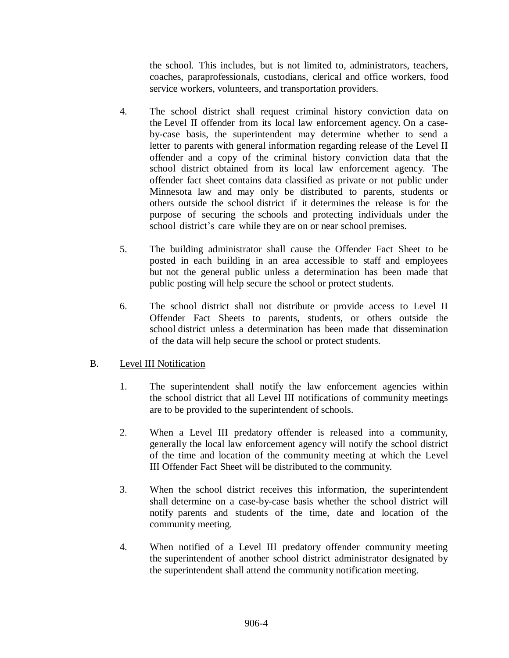the school. This includes, but is not limited to, administrators, teachers, coaches, paraprofessionals, custodians, clerical and office workers, food service workers, volunteers, and transportation providers.

- 4. The school district shall request criminal history conviction data on the Level II offender from its local law enforcement agency. On a caseby-case basis, the superintendent may determine whether to send a letter to parents with general information regarding release of the Level II offender and a copy of the criminal history conviction data that the school district obtained from its local law enforcement agency. The offender fact sheet contains data classified as private or not public under Minnesota law and may only be distributed to parents, students or others outside the school district if it determines the release is for the purpose of securing the schools and protecting individuals under the school district's care while they are on or near school premises.
- 5. The building administrator shall cause the Offender Fact Sheet to be posted in each building in an area accessible to staff and employees but not the general public unless a determination has been made that public posting will help secure the school or protect students.
- 6. The school district shall not distribute or provide access to Level II Offender Fact Sheets to parents, students, or others outside the school district unless a determination has been made that dissemination of the data will help secure the school or protect students.

# B. Level III Notification

- 1. The superintendent shall notify the law enforcement agencies within the school district that all Level III notifications of community meetings are to be provided to the superintendent of schools.
- 2. When a Level III predatory offender is released into a community, generally the local law enforcement agency will notify the school district of the time and location of the community meeting at which the Level III Offender Fact Sheet will be distributed to the community.
- 3. When the school district receives this information, the superintendent shall determine on a case-by-case basis whether the school district will notify parents and students of the time, date and location of the community meeting.
- 4. When notified of a Level III predatory offender community meeting the superintendent of another school district administrator designated by the superintendent shall attend the community notification meeting.